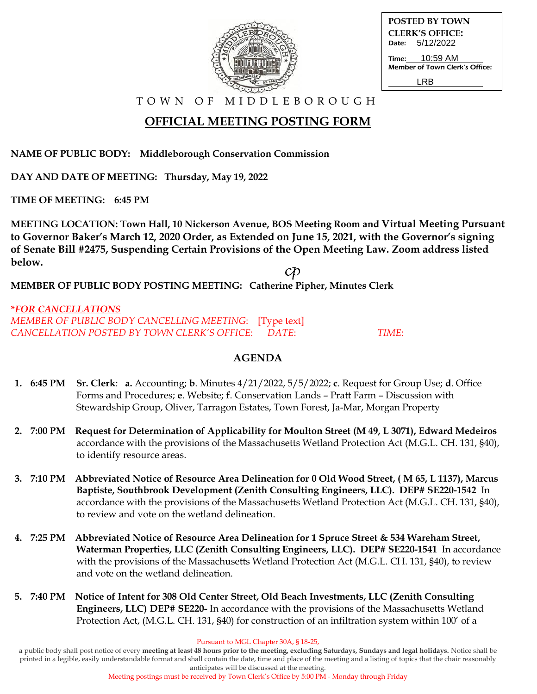| <b>POSTED BY TOWN</b>                                   |  |  |
|---------------------------------------------------------|--|--|
| <b>CLERK'S OFFICE:</b>                                  |  |  |
| Date: 5/12/2022                                         |  |  |
| <b>Time:</b> 10:59 AM<br>Member of Town Clerk's Office: |  |  |
| I RR                                                    |  |  |

## **OFFICIAL MEETING POSTING FORM**

**NAME OF PUBLIC BODY: Middleborough Conservation Commission**

**DAY AND DATE OF MEETING: Thursday, May 19, 2022**

**TIME OF MEETING: 6:45 PM**

**MEETING LOCATION: Town Hall, 10 Nickerson Avenue, BOS Meeting Room and Virtual Meeting Pursuant to Governor Baker's March 12, 2020 Order, as Extended on June 15, 2021, with the Governor's signing of Senate Bill #2475, Suspending Certain Provisions of the Open Meeting Law. Zoom address listed below.**

**MEMBER OF PUBLIC BODY POSTING MEETING: Catherine Pipher, Minutes Clerk**

**\****FOR CANCELLATIONS MEMBER OF PUBLIC BODY CANCELLING MEETING*: [Type text] *CANCELLATION POSTED BY TOWN CLERK'S OFFICE*: *DATE*: *TIME*:

### **AGENDA**

- **1. 6:45 PM Sr. Clerk**: **a.** Accounting; **b**. Minutes 4/21/2022, 5/5/2022; **c**. Request for Group Use; **d**. Office Forms and Procedures; **e**. Website; **f**. Conservation Lands – Pratt Farm – Discussion with Stewardship Group, Oliver, Tarragon Estates, Town Forest, Ja-Mar, Morgan Property
- **2. 7:00 PM Request for Determination of Applicability for Moulton Street (M 49, L 3071), Edward Medeiros** accordance with the provisions of the Massachusetts Wetland Protection Act (M.G.L. CH. 131, §40), to identify resource areas.
- **3. 7:10 PM Abbreviated Notice of Resource Area Delineation for 0 Old Wood Street, ( M 65, L 1137), Marcus Baptiste, Southbrook Development (Zenith Consulting Engineers, LLC). DEP# SE220-1542** In accordance with the provisions of the Massachusetts Wetland Protection Act (M.G.L. CH. 131, §40), to review and vote on the wetland delineation.
- **4. 7:25 PM Abbreviated Notice of Resource Area Delineation for 1 Spruce Street & 534 Wareham Street, Waterman Properties, LLC (Zenith Consulting Engineers, LLC). DEP# SE220-1541** In accordance with the provisions of the Massachusetts Wetland Protection Act (M.G.L. CH. 131, §40), to review and vote on the wetland delineation.
- **5. 7:40 PM Notice of Intent for 308 Old Center Street, Old Beach Investments, LLC (Zenith Consulting Engineers, LLC) DEP# SE220-** In accordance with the provisions of the Massachusetts Wetland Protection Act, (M.G.L. CH. 131, §40) for construction of an infiltration system within 100' of a

a public body shall post notice of every **meeting at least 48 hours prior to the meeting, excluding Saturdays, Sundays and legal holidays.** Notice shall be printed in a legible, easily understandable format and shall contain the date, time and place of the meeting and a listing of topics that the chair reasonably anticipates will be discussed at the meeting.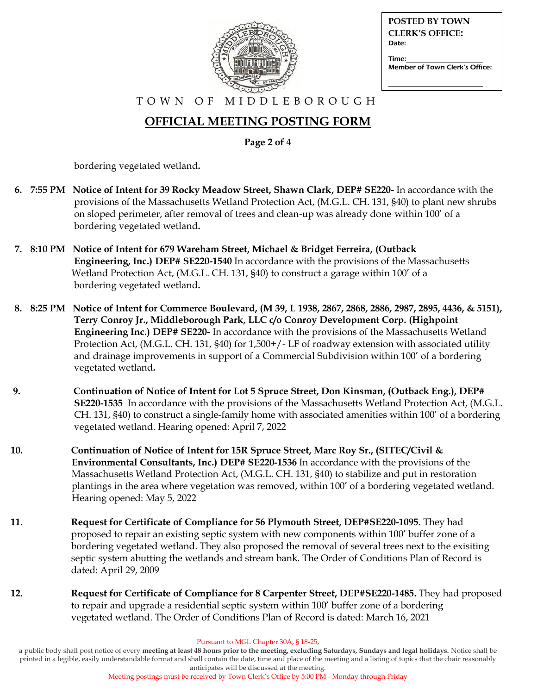| $-10$ |  |
|-------|--|
|       |  |

| <b>POSTED BY TOWN</b>           |
|---------------------------------|
| <b>CLERK'S OFFICE:</b><br>Date: |
| Time:                           |
| Member of Town Clerk's Office:  |
|                                 |

# **OFFICIAL MEETING POSTING FORM**

**Page 2 of 4**

bordering vegetated wetland**.**

- **6. 7:55 PM Notice of Intent for 39 Rocky Meadow Street, Shawn Clark, DEP# SE220-** In accordance with the provisions of the Massachusetts Wetland Protection Act, (M.G.L. CH. 131, §40) to plant new shrubs on sloped perimeter, after removal of trees and clean-up was already done within 100' of a bordering vegetated wetland**.**
- **7. 8:10 PM Notice of Intent for 679 Wareham Street, Michael & Bridget Ferreira, (Outback Engineering, Inc.) DEP# SE220-1540** In accordance with the provisions of the Massachusetts Wetland Protection Act, (M.G.L. CH. 131, §40) to construct a garage within 100' of a bordering vegetated wetland**.**
- **8. 8:25 PM Notice of Intent for Commerce Boulevard, (M 39, L 1938, 2867, 2868, 2886, 2987, 2895, 4436, & 5151), Terry Conroy Jr., Middleborough Park, LLC c/o Conroy Development Corp. (Highpoint Engineering Inc.) DEP# SE220-** In accordance with the provisions of the Massachusetts Wetland Protection Act, (M.G.L. CH. 131, §40) for 1,500+/- LF of roadway extension with associated utility and drainage improvements in support of a Commercial Subdivision within 100' of a bordering vegetated wetland**.**
- **9. Continuation of Notice of Intent for Lot 5 Spruce Street, Don Kinsman, (Outback Eng.), DEP# SE220-1535** In accordance with the provisions of the Massachusetts Wetland Protection Act, (M.G.L. CH. 131, §40) to construct a single-family home with associated amenities within 100' of a bordering vegetated wetland. Hearing opened: April 7, 2022
- **10. Continuation of Notice of Intent for 15R Spruce Street, Marc Roy Sr., (SITEC/Civil & Environmental Consultants, Inc.) DEP# SE220-1536** In accordance with the provisions of the Massachusetts Wetland Protection Act, (M.G.L. CH. 131, §40) to stabilize and put in restoration plantings in the area where vegetation was removed, within 100' of a bordering vegetated wetland. Hearing opened: May 5, 2022
- **11. Request for Certificate of Compliance for 56 Plymouth Street, DEP#SE220-1095.** They had proposed to repair an existing septic system with new components within 100' buffer zone of a bordering vegetated wetland. They also proposed the removal of several trees next to the exisiting septic system abutting the wetlands and stream bank. The Order of Conditions Plan of Record is dated: April 29, 2009
- **12. Request for Certificate of Compliance for 8 Carpenter Street, DEP#SE220-1485.** They had proposed to repair and upgrade a residential septic system within 100' buffer zone of a bordering vegetated wetland. The Order of Conditions Plan of Record is dated: March 16, 2021

Pursuant to MGL Chapter 30A, § 18-25,

a public body shall post notice of every **meeting at least 48 hours prior to the meeting, excluding Saturdays, Sundays and legal holidays.** Notice shall be printed in a legible, easily understandable format and shall contain the date, time and place of the meeting and a listing of topics that the chair reasonably anticipates will be discussed at the meeting.

Meeting postings must be received by Town Clerk's Office by 5:00 PM - Monday through Friday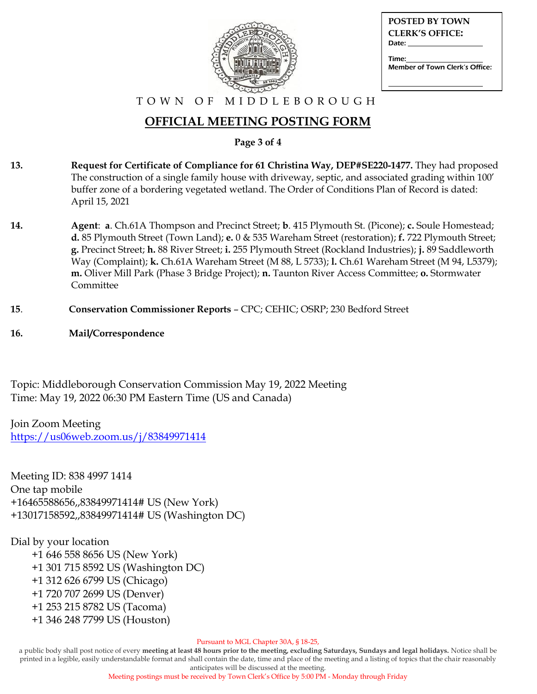

| POSTED BY TOWN                  |
|---------------------------------|
| <b>CLERK'S OFFICE:</b><br>Date: |
| Time:                           |
| Member of Town Clerk's Office:  |

### **OFFICIAL MEETING POSTING FORM**

**Page 3 of 4**

- **13. Request for Certificate of Compliance for 61 Christina Way, DEP#SE220-1477.** They had proposed The construction of a single family house with driveway, septic, and associated grading within 100' buffer zone of a bordering vegetated wetland. The Order of Conditions Plan of Record is dated: April 15, 2021
- **14. Agent**: **a**. Ch.61A Thompson and Precinct Street; **b**. 415 Plymouth St. (Picone); **c.** Soule Homestead; **d.** 85 Plymouth Street (Town Land); **e.** 0 & 535 Wareham Street (restoration); **f.** 722 Plymouth Street; **g.** Precinct Street; **h.** 88 River Street; **i.** 255 Plymouth Street (Rockland Industries); **j.** 89 Saddleworth Way (Complaint); **k.** Ch.61A Wareham Street (M 88, L 5733); **l.** Ch.61 Wareham Street (M 94, L5379); **m.** Oliver Mill Park (Phase 3 Bridge Project); **n.** Taunton River Access Committee; **o.** Stormwater Committee
- **15**. **Conservation Commissioner Reports** CPC; CEHIC; OSRP; 230 Bedford Street
- **16. Mail/Correspondence**

Topic: Middleborough Conservation Commission May 19, 2022 Meeting Time: May 19, 2022 06:30 PM Eastern Time (US and Canada)

Join Zoom Meeting <https://us06web.zoom.us/j/83849971414>

Meeting ID: 838 4997 1414 One tap mobile +16465588656,,83849971414# US (New York) +13017158592,,83849971414# US (Washington DC)

### Dial by your location

 +1 646 558 8656 US (New York) +1 301 715 8592 US (Washington DC) +1 312 626 6799 US (Chicago) +1 720 707 2699 US (Denver) +1 253 215 8782 US (Tacoma) +1 346 248 7799 US (Houston)

Pursuant to MGL Chapter 30A, § 18-25,

a public body shall post notice of every **meeting at least 48 hours prior to the meeting, excluding Saturdays, Sundays and legal holidays.** Notice shall be printed in a legible, easily understandable format and shall contain the date, time and place of the meeting and a listing of topics that the chair reasonably anticipates will be discussed at the meeting.